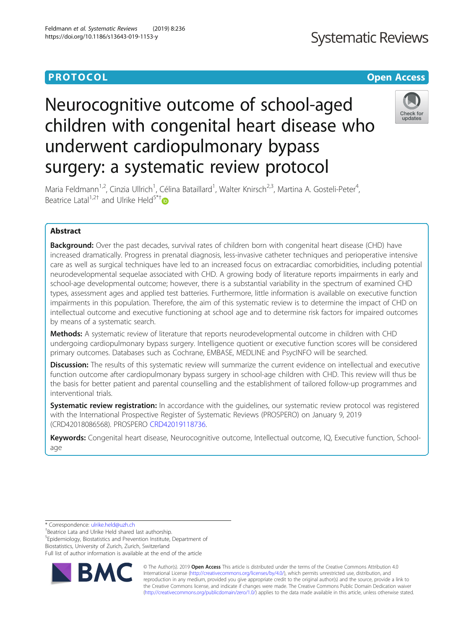# **PROTOCOL CONSUMING THE CONSUMING TEACHER CONSUMING THE CONSUMING TEACHER CONSUMING THE CONSUMING TEACHER CONSUMING**

# **Systematic Reviews**

# Check for undates

Maria Feldmann<sup>1,2</sup>, Cinzia Ullrich<sup>1</sup>, Célina Bataillard<sup>1</sup>, Walter Knirsch<sup>2,3</sup>, Martina A. Gosteli-Peter<sup>4</sup> , Beatrice Latal<sup>1,2[†](http://orcid.org/0000-0003-3105-5840)</sup> and Ulrike Held<sup>5\*†</sup>

Neurocognitive outcome of school-aged

underwent cardiopulmonary bypass

surgery: a systematic review protocol

children with congenital heart disease who

# Abstract

**Background:** Over the past decades, survival rates of children born with congenital heart disease (CHD) have increased dramatically. Progress in prenatal diagnosis, less-invasive catheter techniques and perioperative intensive care as well as surgical techniques have led to an increased focus on extracardiac comorbidities, including potential neurodevelopmental sequelae associated with CHD. A growing body of literature reports impairments in early and school-age developmental outcome; however, there is a substantial variability in the spectrum of examined CHD types, assessment ages and applied test batteries. Furthermore, little information is available on executive function impairments in this population. Therefore, the aim of this systematic review is to determine the impact of CHD on intellectual outcome and executive functioning at school age and to determine risk factors for impaired outcomes by means of a systematic search.

Methods: A systematic review of literature that reports neurodevelopmental outcome in children with CHD undergoing cardiopulmonary bypass surgery. Intelligence quotient or executive function scores will be considered primary outcomes. Databases such as Cochrane, EMBASE, MEDLINE and PsycINFO will be searched.

Discussion: The results of this systematic review will summarize the current evidence on intellectual and executive function outcome after cardiopulmonary bypass surgery in school-age children with CHD. This review will thus be the basis for better patient and parental counselling and the establishment of tailored follow-up programmes and interventional trials.

Systematic review registration: In accordance with the quidelines, our systematic review protocol was registered with the International Prospective Register of Systematic Reviews (PROSPERO) on January 9, 2019 (CRD42018086568). PROSPERO [CRD42019118736](https://www.crd.york.ac.uk/PROSPERO/display_record.php?RecordID=118736).

Keywords: Congenital heart disease, Neurocognitive outcome, Intellectual outcome, IQ, Executive function, Schoolage

\* Correspondence: [ulrike.held@uzh.ch](mailto:ulrike.held@uzh.ch) †

<sup>+</sup>Beatrice Lata and Ulrike Held shared last authorship. 5 Epidemiology, Biostatistics and Prevention Institute, Department of Biostatistics, University of Zurich, Zurich, Switzerland Full list of author information is available at the end of the article



© The Author(s). 2019 **Open Access** This article is distributed under the terms of the Creative Commons Attribution 4.0 International License [\(http://creativecommons.org/licenses/by/4.0/](http://creativecommons.org/licenses/by/4.0/)), which permits unrestricted use, distribution, and reproduction in any medium, provided you give appropriate credit to the original author(s) and the source, provide a link to the Creative Commons license, and indicate if changes were made. The Creative Commons Public Domain Dedication waiver [\(http://creativecommons.org/publicdomain/zero/1.0/](http://creativecommons.org/publicdomain/zero/1.0/)) applies to the data made available in this article, unless otherwise stated.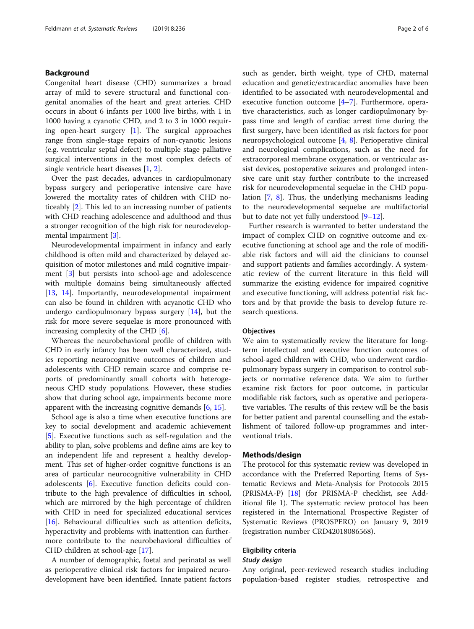# <span id="page-1-0"></span>Background

Congenital heart disease (CHD) summarizes a broad array of mild to severe structural and functional congenital anomalies of the heart and great arteries. CHD occurs in about 6 infants per 1000 live births, with 1 in 1000 having a cyanotic CHD, and 2 to 3 in 1000 requiring open-heart surgery [[1\]](#page-5-0). The surgical approaches range from single-stage repairs of non-cyanotic lesions (e.g. ventricular septal defect) to multiple stage palliative surgical interventions in the most complex defects of single ventricle heart diseases [\[1](#page-5-0), [2](#page-5-0)].

Over the past decades, advances in cardiopulmonary bypass surgery and perioperative intensive care have lowered the mortality rates of children with CHD noticeably [[2\]](#page-5-0). This led to an increasing number of patients with CHD reaching adolescence and adulthood and thus a stronger recognition of the high risk for neurodevelopmental impairment [[3\]](#page-5-0).

Neurodevelopmental impairment in infancy and early childhood is often mild and characterized by delayed acquisition of motor milestones and mild cognitive impairment [[3\]](#page-5-0) but persists into school-age and adolescence with multiple domains being simultaneously affected [[13,](#page-5-0) [14](#page-5-0)]. Importantly, neurodevelopmental impairment can also be found in children with acyanotic CHD who undergo cardiopulmonary bypass surgery [\[14](#page-5-0)], but the risk for more severe sequelae is more pronounced with increasing complexity of the CHD [[6\]](#page-5-0).

Whereas the neurobehavioral profile of children with CHD in early infancy has been well characterized, studies reporting neurocognitive outcomes of children and adolescents with CHD remain scarce and comprise reports of predominantly small cohorts with heterogeneous CHD study populations. However, these studies show that during school age, impairments become more apparent with the increasing cognitive demands [[6,](#page-5-0) [15\]](#page-5-0).

School age is also a time when executive functions are key to social development and academic achievement [[5\]](#page-5-0). Executive functions such as self-regulation and the ability to plan, solve problems and define aims are key to an independent life and represent a healthy development. This set of higher-order cognitive functions is an area of particular neurocognitive vulnerability in CHD adolescents [[6\]](#page-5-0). Executive function deficits could contribute to the high prevalence of difficulties in school, which are mirrored by the high percentage of children with CHD in need for specialized educational services [[16\]](#page-5-0). Behavioural difficulties such as attention deficits, hyperactivity and problems with inattention can furthermore contribute to the neurobehavioral difficulties of CHD children at school-age [\[17](#page-5-0)].

A number of demographic, foetal and perinatal as well as perioperative clinical risk factors for impaired neurodevelopment have been identified. Innate patient factors such as gender, birth weight, type of CHD, maternal education and genetic/extracardiac anomalies have been identified to be associated with neurodevelopmental and executive function outcome  $[4-7]$  $[4-7]$  $[4-7]$  $[4-7]$ . Furthermore, operative characteristics, such as longer cardiopulmonary bypass time and length of cardiac arrest time during the first surgery, have been identified as risk factors for poor neuropsychological outcome [[4,](#page-5-0) [8](#page-5-0)]. Perioperative clinical and neurological complications, such as the need for extracorporeal membrane oxygenation, or ventricular assist devices, postoperative seizures and prolonged intensive care unit stay further contribute to the increased risk for neurodevelopmental sequelae in the CHD population [[7](#page-5-0), [8\]](#page-5-0). Thus, the underlying mechanisms leading to the neurodevelopmental sequelae are multifactorial but to date not yet fully understood [\[9](#page-5-0)–[12\]](#page-5-0).

Further research is warranted to better understand the impact of complex CHD on cognitive outcome and executive functioning at school age and the role of modifiable risk factors and will aid the clinicians to counsel and support patients and families accordingly. A systematic review of the current literature in this field will summarize the existing evidence for impaired cognitive and executive functioning, will address potential risk factors and by that provide the basis to develop future research questions.

### **Objectives**

We aim to systematically review the literature for longterm intellectual and executive function outcomes of school-aged children with CHD, who underwent cardiopulmonary bypass surgery in comparison to control subjects or normative reference data. We aim to further examine risk factors for poor outcome, in particular modifiable risk factors, such as operative and perioperative variables. The results of this review will be the basis for better patient and parental counselling and the establishment of tailored follow-up programmes and interventional trials.

# Methods/design

The protocol for this systematic review was developed in accordance with the Preferred Reporting Items of Systematic Reviews and Meta-Analysis for Protocols 2015 (PRISMA-P) [\[18\]](#page-5-0) (for PRISMA-P checklist, see Additional file 1). The systematic review protocol has been registered in the International Prospective Register of Systematic Reviews (PROSPERO) on January 9, 2019 (registration number CRD42018086568).

#### Eligibility criteria

# Study design

Any original, peer-reviewed research studies including population-based register studies, retrospective and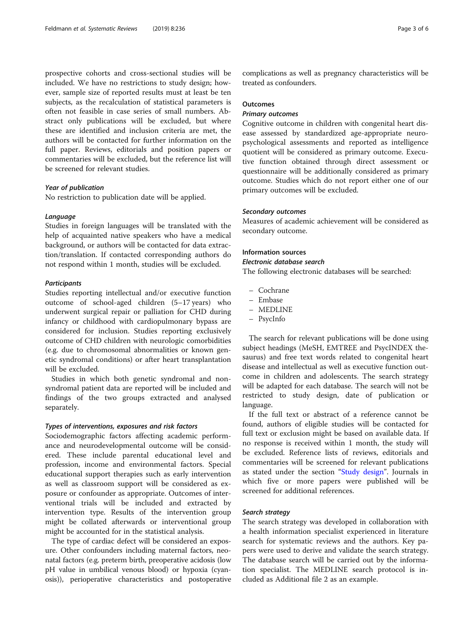prospective cohorts and cross-sectional studies will be included. We have no restrictions to study design; however, sample size of reported results must at least be ten subjects, as the recalculation of statistical parameters is often not feasible in case series of small numbers. Abstract only publications will be excluded, but where these are identified and inclusion criteria are met, the authors will be contacted for further information on the full paper. Reviews, editorials and position papers or commentaries will be excluded, but the reference list will be screened for relevant studies.

# Year of publication

No restriction to publication date will be applied.

#### Language

Studies in foreign languages will be translated with the help of acquainted native speakers who have a medical background, or authors will be contacted for data extraction/translation. If contacted corresponding authors do not respond within 1 month, studies will be excluded.

#### **Participants**

Studies reporting intellectual and/or executive function outcome of school-aged children (5–17 years) who underwent surgical repair or palliation for CHD during infancy or childhood with cardiopulmonary bypass are considered for inclusion. Studies reporting exclusively outcome of CHD children with neurologic comorbidities (e.g. due to chromosomal abnormalities or known genetic syndromal conditions) or after heart transplantation will be excluded.

Studies in which both genetic syndromal and nonsyndromal patient data are reported will be included and findings of the two groups extracted and analysed separately.

# Types of interventions, exposures and risk factors

Sociodemographic factors affecting academic performance and neurodevelopmental outcome will be considered. These include parental educational level and profession, income and environmental factors. Special educational support therapies such as early intervention as well as classroom support will be considered as exposure or confounder as appropriate. Outcomes of interventional trials will be included and extracted by intervention type. Results of the intervention group might be collated afterwards or interventional group might be accounted for in the statistical analysis.

The type of cardiac defect will be considered an exposure. Other confounders including maternal factors, neonatal factors (e.g. preterm birth, preoperative acidosis (low pH value in umbilical venous blood) or hypoxia (cyanosis)), perioperative characteristics and postoperative complications as well as pregnancy characteristics will be treated as confounders.

# **Outcomes**

# Primary outcomes

Cognitive outcome in children with congenital heart disease assessed by standardized age-appropriate neuropsychological assessments and reported as intelligence quotient will be considered as primary outcome. Executive function obtained through direct assessment or questionnaire will be additionally considered as primary outcome. Studies which do not report either one of our primary outcomes will be excluded.

# Secondary outcomes

Measures of academic achievement will be considered as secondary outcome.

# Information sources

#### Electronic database search

The following electronic databases will be searched:

- Cochrane
- Embase
- MEDLINE
- PsycInfo

The search for relevant publications will be done using subject headings (MeSH, EMTREE and PsycINDEX thesaurus) and free text words related to congenital heart disease and intellectual as well as executive function outcome in children and adolescents. The search strategy will be adapted for each database. The search will not be restricted to study design, date of publication or language.

If the full text or abstract of a reference cannot be found, authors of eligible studies will be contacted for full text or exclusion might be based on available data. If no response is received within 1 month, the study will be excluded. Reference lists of reviews, editorials and commentaries will be screened for relevant publications as stated under the section "[Study design](#page-1-0)". Journals in which five or more papers were published will be screened for additional references.

### Search strategy

The search strategy was developed in collaboration with a health information specialist experienced in literature search for systematic reviews and the authors. Key papers were used to derive and validate the search strategy. The database search will be carried out by the information specialist. The MEDLINE search protocol is included as Additional file 2 as an example.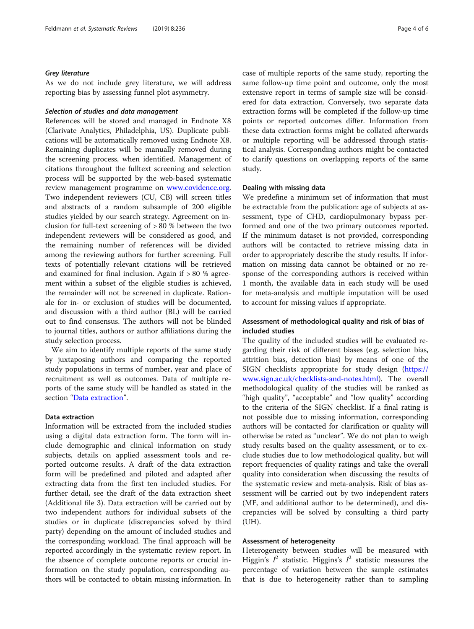#### Grey literature

As we do not include grey literature, we will address reporting bias by assessing funnel plot asymmetry.

# Selection of studies and data management

References will be stored and managed in Endnote X8 (Clarivate Analytics, Philadelphia, US). Duplicate publications will be automatically removed using Endnote X8. Remaining duplicates will be manually removed during the screening process, when identified. Management of citations throughout the fulltext screening and selection process will be supported by the web-based systematic review management programme on [www.covidence.org](http://www.covidence.org). Two independent reviewers (CU, CB) will screen titles and abstracts of a random subsample of 200 eligible studies yielded by our search strategy. Agreement on inclusion for full-text screening of > 80 % between the two independent reviewers will be considered as good, and the remaining number of references will be divided among the reviewing authors for further screening. Full texts of potentially relevant citations will be retrieved and examined for final inclusion. Again if > 80 % agreement within a subset of the eligible studies is achieved, the remainder will not be screened in duplicate. Rationale for in- or exclusion of studies will be documented, and discussion with a third author (BL) will be carried out to find consensus. The authors will not be blinded to journal titles, authors or author affiliations during the study selection process.

We aim to identify multiple reports of the same study by juxtaposing authors and comparing the reported study populations in terms of number, year and place of recruitment as well as outcomes. Data of multiple reports of the same study will be handled as stated in the section "Data extraction".

#### Data extraction

Information will be extracted from the included studies using a digital data extraction form. The form will include demographic and clinical information on study subjects, details on applied assessment tools and reported outcome results. A draft of the data extraction form will be predefined and piloted and adapted after extracting data from the first ten included studies. For further detail, see the draft of the data extraction sheet (Additional file 3). Data extraction will be carried out by two independent authors for individual subsets of the studies or in duplicate (discrepancies solved by third party) depending on the amount of included studies and the corresponding workload. The final approach will be reported accordingly in the systematic review report. In the absence of complete outcome reports or crucial information on the study population, corresponding authors will be contacted to obtain missing information. In case of multiple reports of the same study, reporting the same follow-up time point and outcome, only the most extensive report in terms of sample size will be considered for data extraction. Conversely, two separate data extraction forms will be completed if the follow-up time points or reported outcomes differ. Information from these data extraction forms might be collated afterwards or multiple reporting will be addressed through statistical analysis. Corresponding authors might be contacted to clarify questions on overlapping reports of the same study.

#### Dealing with missing data

We predefine a minimum set of information that must be extractable from the publication: age of subjects at assessment, type of CHD, cardiopulmonary bypass performed and one of the two primary outcomes reported. If the minimum dataset is not provided, corresponding authors will be contacted to retrieve missing data in order to appropriately describe the study results. If information on missing data cannot be obtained or no response of the corresponding authors is received within 1 month, the available data in each study will be used for meta-analysis and multiple imputation will be used to account for missing values if appropriate.

# Assessment of methodological quality and risk of bias of included studies

The quality of the included studies will be evaluated regarding their risk of different biases (e.g. selection bias, attrition bias, detection bias) by means of one of the SIGN checklists appropriate for study design ([https://](https://www.sign.ac.uk/checklists-and-notes.html) [www.sign.ac.uk/checklists-and-notes.html](https://www.sign.ac.uk/checklists-and-notes.html)). The overall methodological quality of the studies will be ranked as "high quality", "acceptable" and "low quality" according to the criteria of the SIGN checklist. If a final rating is not possible due to missing information, corresponding authors will be contacted for clarification or quality will otherwise be rated as "unclear". We do not plan to weigh study results based on the quality assessment, or to exclude studies due to low methodological quality, but will report frequencies of quality ratings and take the overall quality into consideration when discussing the results of the systematic review and meta-analysis. Risk of bias assessment will be carried out by two independent raters (MF, and additional author to be determined), and discrepancies will be solved by consulting a third party (UH).

# Assessment of heterogeneity

Heterogeneity between studies will be measured with Higgin's  $I^2$  statistic. Higgins's  $I^2$  statistic measures the percentage of variation between the sample estimates that is due to heterogeneity rather than to sampling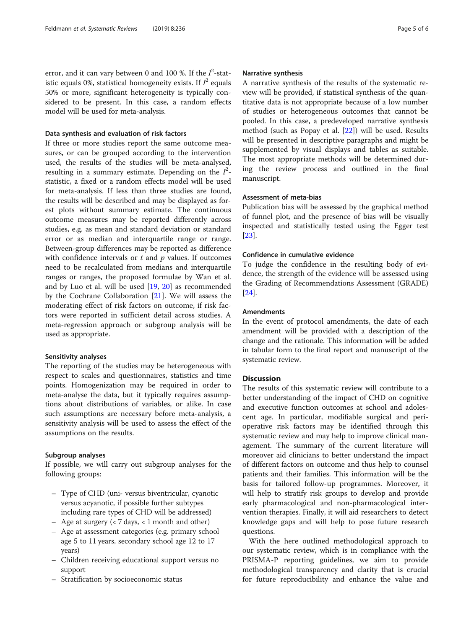error, and it can vary between 0 and 100 %. If the  $I^2$ -statistic equals 0%, statistical homogeneity exists. If  $I^2$  equals 50% or more, significant heterogeneity is typically considered to be present. In this case, a random effects model will be used for meta-analysis.

# Data synthesis and evaluation of risk factors

If three or more studies report the same outcome measures, or can be grouped according to the intervention used, the results of the studies will be meta-analysed, resulting in a summary estimate. Depending on the  $I^2$ statistic, a fixed or a random effects model will be used for meta-analysis. If less than three studies are found, the results will be described and may be displayed as forest plots without summary estimate. The continuous outcome measures may be reported differently across studies, e.g. as mean and standard deviation or standard error or as median and interquartile range or range. Between-group differences may be reported as difference with confidence intervals or  $t$  and  $p$  values. If outcomes need to be recalculated from medians and interquartile ranges or ranges, the proposed formulae by Wan et al. and by Luo et al. will be used [\[19,](#page-5-0) [20\]](#page-5-0) as recommended by the Cochrane Collaboration [[21](#page-5-0)]. We will assess the moderating effect of risk factors on outcome, if risk factors were reported in sufficient detail across studies. A meta-regression approach or subgroup analysis will be used as appropriate.

#### Sensitivity analyses

The reporting of the studies may be heterogeneous with respect to scales and questionnaires, statistics and time points. Homogenization may be required in order to meta-analyse the data, but it typically requires assumptions about distributions of variables, or alike. In case such assumptions are necessary before meta-analysis, a sensitivity analysis will be used to assess the effect of the assumptions on the results.

# Subgroup analyses

If possible, we will carry out subgroup analyses for the following groups:

- Type of CHD (uni- versus biventricular, cyanotic versus acyanotic, if possible further subtypes including rare types of CHD will be addressed)
- Age at surgery (< 7 days, < 1 month and other)
- Age at assessment categories (e.g. primary school age 5 to 11 years, secondary school age 12 to 17 years)
- Children receiving educational support versus no support
- Stratification by socioeconomic status

# Narrative synthesis

A narrative synthesis of the results of the systematic review will be provided, if statistical synthesis of the quantitative data is not appropriate because of a low number of studies or heterogeneous outcomes that cannot be pooled. In this case, a predeveloped narrative synthesis method (such as Popay et al. [\[22](#page-5-0)]) will be used. Results will be presented in descriptive paragraphs and might be supplemented by visual displays and tables as suitable. The most appropriate methods will be determined during the review process and outlined in the final manuscript.

# Assessment of meta-bias

Publication bias will be assessed by the graphical method of funnel plot, and the presence of bias will be visually inspected and statistically tested using the Egger test [[23\]](#page-5-0).

#### Confidence in cumulative evidence

To judge the confidence in the resulting body of evidence, the strength of the evidence will be assessed using the Grading of Recommendations Assessment (GRADE) [[24\]](#page-5-0).

# Amendments

In the event of protocol amendments, the date of each amendment will be provided with a description of the change and the rationale. This information will be added in tabular form to the final report and manuscript of the systematic review.

# **Discussion**

The results of this systematic review will contribute to a better understanding of the impact of CHD on cognitive and executive function outcomes at school and adolescent age. In particular, modifiable surgical and perioperative risk factors may be identified through this systematic review and may help to improve clinical management. The summary of the current literature will moreover aid clinicians to better understand the impact of different factors on outcome and thus help to counsel patients and their families. This information will be the basis for tailored follow-up programmes. Moreover, it will help to stratify risk groups to develop and provide early pharmacological and non-pharmacological intervention therapies. Finally, it will aid researchers to detect knowledge gaps and will help to pose future research questions.

With the here outlined methodological approach to our systematic review, which is in compliance with the PRISMA-P reporting guidelines, we aim to provide methodological transparency and clarity that is crucial for future reproducibility and enhance the value and